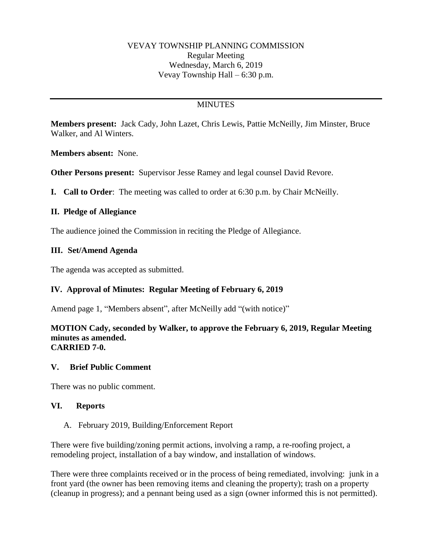# **MINUTES**

**Members present:** Jack Cady, John Lazet, Chris Lewis, Pattie McNeilly, Jim Minster, Bruce Walker, and Al Winters.

**Members absent:** None.

**Other Persons present:** Supervisor Jesse Ramey and legal counsel David Revore.

**I. Call to Order**: The meeting was called to order at 6:30 p.m. by Chair McNeilly.

# **II. Pledge of Allegiance**

The audience joined the Commission in reciting the Pledge of Allegiance.

# **III. Set/Amend Agenda**

The agenda was accepted as submitted.

# **IV. Approval of Minutes: Regular Meeting of February 6, 2019**

Amend page 1, "Members absent", after McNeilly add "(with notice)"

#### **MOTION Cady, seconded by Walker, to approve the February 6, 2019, Regular Meeting minutes as amended. CARRIED 7-0.**

# **V. Brief Public Comment**

There was no public comment.

#### **VI. Reports**

#### A. February 2019, Building/Enforcement Report

There were five building/zoning permit actions, involving a ramp, a re-roofing project, a remodeling project, installation of a bay window, and installation of windows.

There were three complaints received or in the process of being remediated, involving: junk in a front yard (the owner has been removing items and cleaning the property); trash on a property (cleanup in progress); and a pennant being used as a sign (owner informed this is not permitted).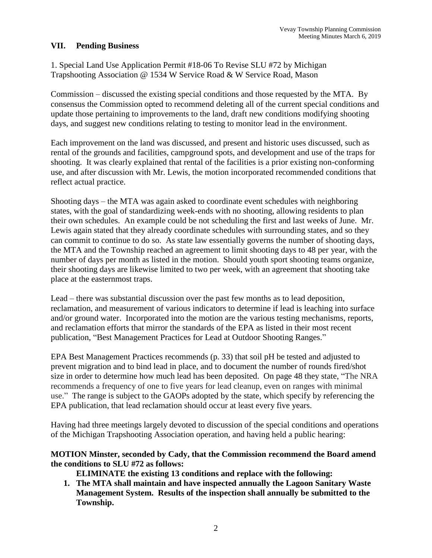### **VII. Pending Business**

1. Special Land Use Application Permit #18-06 To Revise SLU #72 by Michigan Trapshooting Association @ 1534 W Service Road & W Service Road, Mason

Commission – discussed the existing special conditions and those requested by the MTA. By consensus the Commission opted to recommend deleting all of the current special conditions and update those pertaining to improvements to the land, draft new conditions modifying shooting days, and suggest new conditions relating to testing to monitor lead in the environment.

Each improvement on the land was discussed, and present and historic uses discussed, such as rental of the grounds and facilities, campground spots, and development and use of the traps for shooting. It was clearly explained that rental of the facilities is a prior existing non-conforming use, and after discussion with Mr. Lewis, the motion incorporated recommended conditions that reflect actual practice.

Shooting days – the MTA was again asked to coordinate event schedules with neighboring states, with the goal of standardizing week-ends with no shooting, allowing residents to plan their own schedules. An example could be not scheduling the first and last weeks of June. Mr. Lewis again stated that they already coordinate schedules with surrounding states, and so they can commit to continue to do so. As state law essentially governs the number of shooting days, the MTA and the Township reached an agreement to limit shooting days to 48 per year, with the number of days per month as listed in the motion. Should youth sport shooting teams organize, their shooting days are likewise limited to two per week, with an agreement that shooting take place at the easternmost traps.

Lead – there was substantial discussion over the past few months as to lead deposition, reclamation, and measurement of various indicators to determine if lead is leaching into surface and/or ground water. Incorporated into the motion are the various testing mechanisms, reports, and reclamation efforts that mirror the standards of the EPA as listed in their most recent publication, "Best Management Practices for Lead at Outdoor Shooting Ranges."

EPA Best Management Practices recommends (p. 33) that soil pH be tested and adjusted to prevent migration and to bind lead in place, and to document the number of rounds fired/shot size in order to determine how much lead has been deposited. On page 48 they state, "The NRA recommends a frequency of one to five years for lead cleanup, even on ranges with minimal use." The range is subject to the GAOPs adopted by the state, which specify by referencing the EPA publication, that lead reclamation should occur at least every five years.

Having had three meetings largely devoted to discussion of the special conditions and operations of the Michigan Trapshooting Association operation, and having held a public hearing:

### **MOTION Minster, seconded by Cady, that the Commission recommend the Board amend the conditions to SLU #72 as follows:**

**ELIMINATE the existing 13 conditions and replace with the following:**

**1. The MTA shall maintain and have inspected annually the Lagoon Sanitary Waste Management System. Results of the inspection shall annually be submitted to the Township.**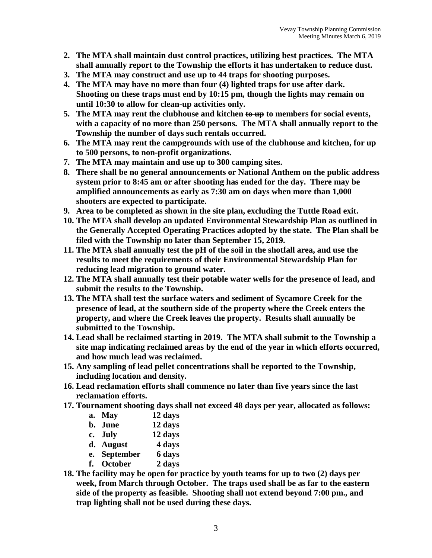- **2. The MTA shall maintain dust control practices, utilizing best practices. The MTA shall annually report to the Township the efforts it has undertaken to reduce dust.**
- **3. The MTA may construct and use up to 44 traps for shooting purposes.**
- **4. The MTA may have no more than four (4) lighted traps for use after dark. Shooting on these traps must end by 10:15 pm, though the lights may remain on until 10:30 to allow for clean-up activities only.**
- **5. The MTA may rent the clubhouse and kitchen to up to members for social events, with a capacity of no more than 250 persons. The MTA shall annually report to the Township the number of days such rentals occurred.**
- **6. The MTA may rent the campgrounds with use of the clubhouse and kitchen, for up to 500 persons, to non-profit organizations.**
- **7. The MTA may maintain and use up to 300 camping sites.**
- **8. There shall be no general announcements or National Anthem on the public address system prior to 8:45 am or after shooting has ended for the day. There may be amplified announcements as early as 7:30 am on days when more than 1,000 shooters are expected to participate.**
- **9. Area to be completed as shown in the site plan, excluding the Tuttle Road exit.**
- **10. The MTA shall develop an updated Environmental Stewardship Plan as outlined in the Generally Accepted Operating Practices adopted by the state. The Plan shall be filed with the Township no later than September 15, 2019.**
- **11. The MTA shall annually test the pH of the soil in the shotfall area, and use the results to meet the requirements of their Environmental Stewardship Plan for reducing lead migration to ground water.**
- **12. The MTA shall annually test their potable water wells for the presence of lead, and submit the results to the Township.**
- **13. The MTA shall test the surface waters and sediment of Sycamore Creek for the presence of lead, at the southern side of the property where the Creek enters the property, and where the Creek leaves the property. Results shall annually be submitted to the Township.**
- **14. Lead shall be reclaimed starting in 2019. The MTA shall submit to the Township a site map indicating reclaimed areas by the end of the year in which efforts occurred, and how much lead was reclaimed.**
- **15. Any sampling of lead pellet concentrations shall be reported to the Township, including location and density.**
- **16. Lead reclamation efforts shall commence no later than five years since the last reclamation efforts.**
- **17. Tournament shooting days shall not exceed 48 days per year, allocated as follows:**

| a. May      | 12 days |
|-------------|---------|
| b. June     | 12 days |
| c. July     | 12 days |
| d. August   | 4 days  |
| e Sentember | k yang  |

- **e. September 6 days f. October 2 days**
- **18. The facility may be open for practice by youth teams for up to two (2) days per week, from March through October. The traps used shall be as far to the eastern side of the property as feasible. Shooting shall not extend beyond 7:00 pm., and trap lighting shall not be used during these days.**